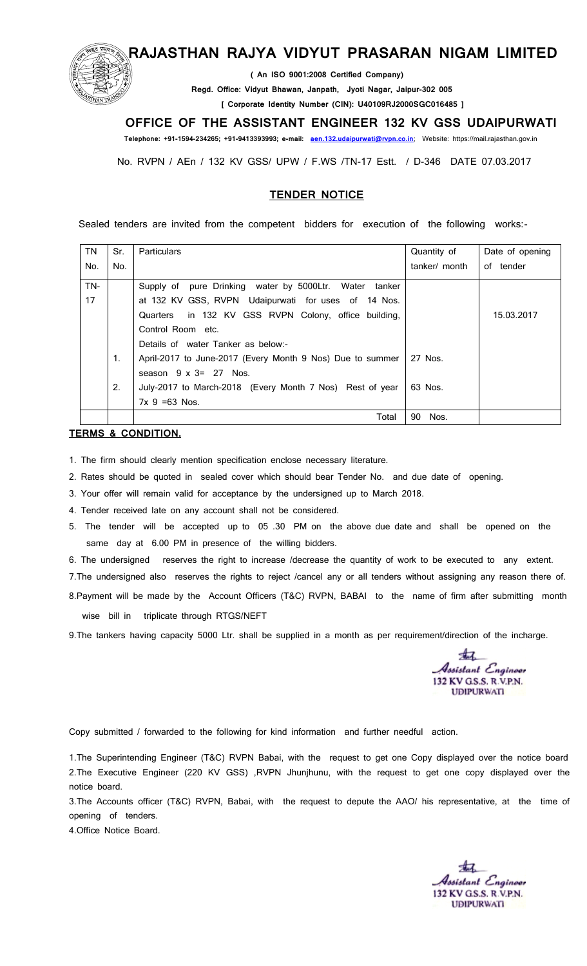

## **RAJASTHAN RAJYA VIDYUT PRASARAN NIGAM LIMITED**

 **( An ISO 9001:2008 Certified Company)**

**Regd. Office: Vidyut Bhawan, Janpath, Jyoti Nagar, Jaipur-302 005**

 **[ Corporate Identity Number (CIN): U40109RJ2000SGC016485 ]**

### **OFFICE OF THE ASSISTANT ENGINEER 132 KV GSS UDAIPURWATI**

 **Telephone: +91-1594-234265; +91-9413393993; e-mail: [aen.132.udaipurwati@rvpn.co.in](mailto:aen.132.udaipurwati@rvpn.co.in)**; Website: https://mail.rajasthan.gov.in

No. RVPN / AEn / 132 KV GSS/ UPW / F.WS /TN-17 Estt. / D-346 DATE 07.03.2017

#### **TENDER NOTICE**

Sealed tenders are invited from the competent bidders for execution of the following works:-

| <b>TN</b> | Sr. | Particulars                                               | Quantity of   | Date of opening |
|-----------|-----|-----------------------------------------------------------|---------------|-----------------|
| No.       | No. |                                                           | tanker/ month | of tender       |
| TN-       |     | Supply of pure Drinking water by 5000Ltr. Water<br>tanker |               |                 |
| 17        |     | at 132 KV GSS, RVPN Udaipurwati for uses of 14 Nos.       |               |                 |
|           |     | in 132 KV GSS RVPN Colony, office building,<br>Quarters   |               | 15.03.2017      |
|           |     | Control Room etc.                                         |               |                 |
|           |     | Details of water Tanker as below:-                        |               |                 |
|           | 1.  | April-2017 to June-2017 (Every Month 9 Nos) Due to summer | 27 Nos.       |                 |
|           |     | season $9 \times 3 = 27$ Nos.                             |               |                 |
|           | 2.  | July-2017 to March-2018 (Every Month 7 Nos) Rest of year  | 63 Nos.       |                 |
|           |     | $7x$ 9 = 63 Nos.                                          |               |                 |
|           |     | Total                                                     | 90<br>Nos.    |                 |

#### **TERMS & CONDITION.**

- 1. The firm should clearly mention specification enclose necessary literature.
- 2. Rates should be quoted in sealed cover which should bear Tender No. and due date of opening.
- 3. Your offer will remain valid for acceptance by the undersigned up to March 2018.
- 4. Tender received late on any account shall not be considered.
- 5. The tender will be accepted up to 05 .30 PM on the above due date and shall be opened on the same day at 6.00 PM in presence of the willing bidders.

6. The undersigned reserves the right to increase /decrease the quantity of work to be executed to any extent.

7. The undersigned also reserves the rights to reject /cancel any or all tenders without assigning any reason there of.

8.Payment will be made by the Account Officers (T&C) RVPN, BABAI to the name of firm after submitting month

wise bill in triplicate through RTGS/NEFT

9. The tankers having capacity 5000 Ltr. shall be supplied in a month as per requirement/direction of the incharge.

ssistant Engineer 132 KV GS.S. R.V.P.N. **UDIPURWATI** 

Copy submitted / forwarded to the following for kind information and further needful action.

1.The Superintending Engineer (T&C) RVPN Babai, with the request to get one Copy displayed over the notice board 2.The Executive Engineer (220 KV GSS) ,RVPN Jhunjhunu, with the request to get one copy displayed over the notice board.

3.The Accounts officer (T&C) RVPN, Babai, with the request to depute the AAO/ his representative, at the time of opening of tenders.

4.Office Notice Board.

Assistant Engineer 132 KV GS.S. R.V.P.N. **UDIPURWATI**